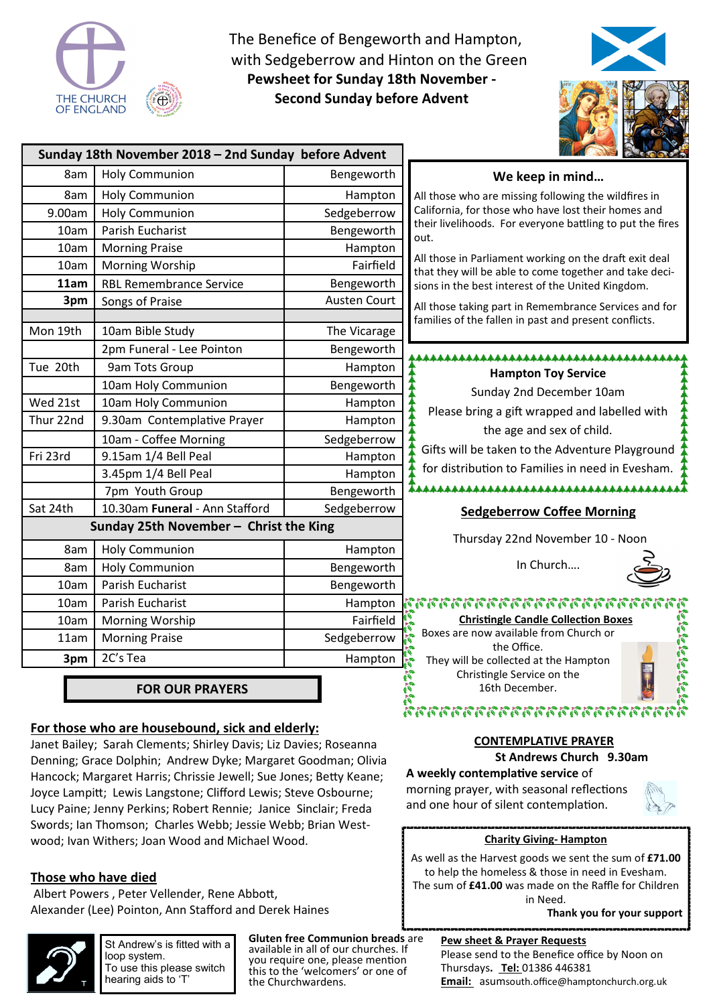

The Benefice of Bengeworth and Hampton, with Sedgeberrow and Hinton on the Green **Pewsheet for Sunday 18th November - Second Sunday before Advent** 



|                                        | Sunday 18th November 2018 - 2nd Sunday before Advent |                     | <b>CALL CALCO OF STRAIGHT</b>                                                                                    |
|----------------------------------------|------------------------------------------------------|---------------------|------------------------------------------------------------------------------------------------------------------|
| 8am                                    | <b>Holy Communion</b>                                | Bengeworth          | We keep in mind                                                                                                  |
| 8am                                    | <b>Holy Communion</b>                                | Hampton             | All those who are missing following the wildfires in                                                             |
| 9.00am                                 | <b>Holy Communion</b>                                | Sedgeberrow         | California, for those who have lost their homes and                                                              |
| 10am                                   | Parish Eucharist                                     | Bengeworth          | their livelihoods. For everyone battling to put the fires<br>out.                                                |
| 10am                                   | <b>Morning Praise</b>                                | Hampton             |                                                                                                                  |
| 10am                                   | Morning Worship                                      | Fairfield           | All those in Parliament working on the draft exit deal<br>that they will be able to come together and take deci- |
| 11am                                   | <b>RBL Remembrance Service</b>                       | Bengeworth          | sions in the best interest of the United Kingdom.                                                                |
| 3pm                                    | Songs of Praise                                      | <b>Austen Court</b> | All those taking part in Remembrance Services and for                                                            |
|                                        |                                                      |                     | families of the fallen in past and present conflicts.                                                            |
| Mon 19th                               | 10am Bible Study                                     | The Vicarage        |                                                                                                                  |
|                                        | 2pm Funeral - Lee Pointon                            | Bengeworth          |                                                                                                                  |
| Tue 20th                               | 9am Tots Group                                       | Hampton             | <b>Hampton Toy Service</b>                                                                                       |
|                                        | 10am Holy Communion                                  | Bengeworth          | Sunday 2nd December 10am                                                                                         |
| Wed 21st                               | 10am Holy Communion                                  | Hampton             | Please bring a gift wrapped and labelled with                                                                    |
| Thur 22nd                              | 9.30am Contemplative Prayer                          | Hampton             |                                                                                                                  |
|                                        | 10am - Coffee Morning                                | Sedgeberrow         | the age and sex of child.                                                                                        |
| Fri 23rd                               | 9.15am 1/4 Bell Peal                                 | Hampton             | Gifts will be taken to the Adventure Playground                                                                  |
|                                        | 3.45pm 1/4 Bell Peal                                 | Hampton             | for distribution to Families in need in Evesham.                                                                 |
|                                        | 7pm Youth Group                                      | Bengeworth          | **************************************                                                                           |
| Sat 24th                               | 10.30am Funeral - Ann Stafford                       | Sedgeberrow         | <b>Sedgeberrow Coffee Morning</b>                                                                                |
| Sunday 25th November - Christ the King |                                                      |                     |                                                                                                                  |
| 8am                                    | <b>Holy Communion</b>                                | Hampton             | Thursday 22nd November 10 - Noon                                                                                 |
| 8am                                    | <b>Holy Communion</b>                                | Bengeworth          | In Church                                                                                                        |
| 10am                                   | <b>Parish Eucharist</b>                              | Bengeworth          |                                                                                                                  |
| 10am                                   | Parish Eucharist                                     | Hampton             |                                                                                                                  |
| 10am                                   | <b>Morning Worship</b>                               | Fairfield           | <b>Christingle Candle Collection Boxes</b>                                                                       |
| 11am                                   | <b>Morning Praise</b>                                | Sedgeberrow         | Boxes are now available from Church or<br>the Office.                                                            |
| 3pm                                    | 2C's Tea                                             | Hampton             | They will be collected at the Hampton                                                                            |
|                                        |                                                      |                     | Christingle Service on the                                                                                       |
|                                        | <b>FOR OUR PRAYERS</b>                               |                     | 16th December.                                                                                                   |

#### **For those who are housebound, sick and elderly:**

Janet Bailey; Sarah Clements; Shirley Davis; Liz Davies; Roseanna Denning; Grace Dolphin; Andrew Dyke; Margaret Goodman; Olivia Hancock; Margaret Harris; Chrissie Jewell; Sue Jones; Betty Keane; Joyce Lampitt; Lewis Langstone; Clifford Lewis; Steve Osbourne; Lucy Paine; Jenny Perkins; Robert Rennie; Janice Sinclair; Freda Swords; Ian Thomson; Charles Webb; Jessie Webb; Brian Westwood; Ivan Withers; Joan Wood and Michael Wood.

#### **Those who have died**

Albert Powers, Peter Vellender, Rene Abbott, Alexander (Lee) Pointon, Ann Stafford and Derek Haines



St Andrew's is fitted with a loop system. To use this please switch hearing aids to 'T'

**Gluten free Communion breads** are available in all of our churches. If you require one, please mention this to the 'welcomers' or one of the Churchwardens.



**MANANANANANANANAN** 

# **A weekly contemplative service of**

morning prayer, with seasonal reflections and one hour of silent contemplation.



#### **Charity Giving- Hampton**

As well as the Harvest goods we sent the sum of **£71.00**  to help the homeless & those in need in Evesham. The sum of **£41.00** was made on the Raffle for Children in Need.

 **Thank you for your support** 

#### **Pew sheet & Prayer Requests**  Please send to the Benefice office by Noon on Thursdays**. Tel:** 01386 446381

**Email:** asumsouth.office@hamptonchurch.org.uk